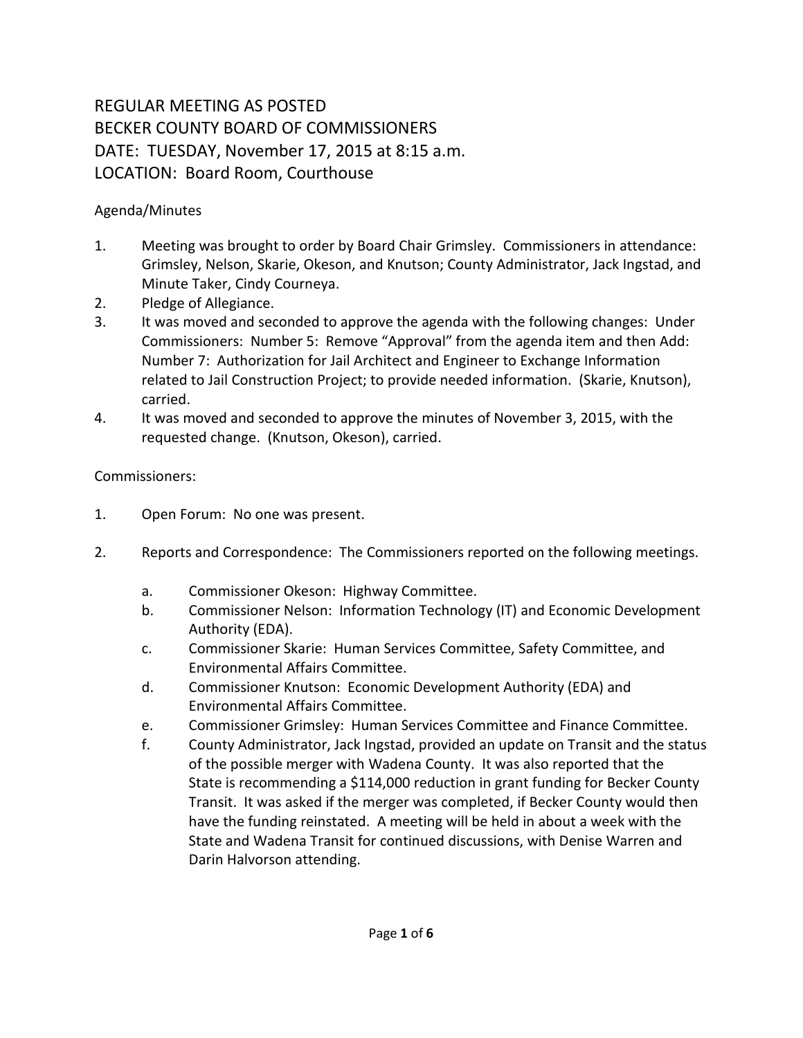## REGULAR MEETING AS POSTED BECKER COUNTY BOARD OF COMMISSIONERS DATE: TUESDAY, November 17, 2015 at 8:15 a.m. LOCATION: Board Room, Courthouse

## Agenda/Minutes

- 1. Meeting was brought to order by Board Chair Grimsley. Commissioners in attendance: Grimsley, Nelson, Skarie, Okeson, and Knutson; County Administrator, Jack Ingstad, and Minute Taker, Cindy Courneya.
- 2. Pledge of Allegiance.
- 3. It was moved and seconded to approve the agenda with the following changes: Under Commissioners: Number 5: Remove "Approval" from the agenda item and then Add: Number 7: Authorization for Jail Architect and Engineer to Exchange Information related to Jail Construction Project; to provide needed information. (Skarie, Knutson), carried.
- 4. It was moved and seconded to approve the minutes of November 3, 2015, with the requested change. (Knutson, Okeson), carried.

## Commissioners:

- 1. Open Forum: No one was present.
- 2. Reports and Correspondence: The Commissioners reported on the following meetings.
	- a. Commissioner Okeson: Highway Committee.
	- b. Commissioner Nelson: Information Technology (IT) and Economic Development Authority (EDA).
	- c. Commissioner Skarie: Human Services Committee, Safety Committee, and Environmental Affairs Committee.
	- d. Commissioner Knutson: Economic Development Authority (EDA) and Environmental Affairs Committee.
	- e. Commissioner Grimsley: Human Services Committee and Finance Committee.
	- f. County Administrator, Jack Ingstad, provided an update on Transit and the status of the possible merger with Wadena County. It was also reported that the State is recommending a \$114,000 reduction in grant funding for Becker County Transit. It was asked if the merger was completed, if Becker County would then have the funding reinstated. A meeting will be held in about a week with the State and Wadena Transit for continued discussions, with Denise Warren and Darin Halvorson attending.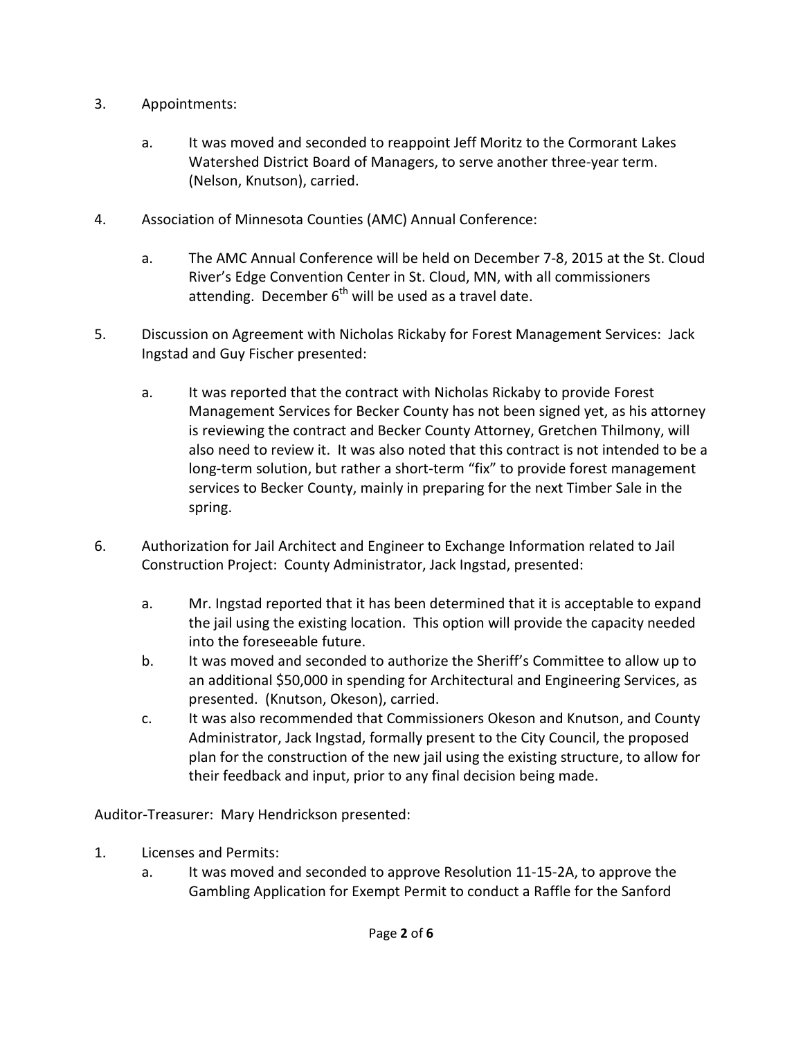- 3. Appointments:
	- a. It was moved and seconded to reappoint Jeff Moritz to the Cormorant Lakes Watershed District Board of Managers, to serve another three-year term. (Nelson, Knutson), carried.
- 4. Association of Minnesota Counties (AMC) Annual Conference:
	- a. The AMC Annual Conference will be held on December 7-8, 2015 at the St. Cloud River's Edge Convention Center in St. Cloud, MN, with all commissioners attending. December  $6<sup>th</sup>$  will be used as a travel date.
- 5. Discussion on Agreement with Nicholas Rickaby for Forest Management Services: Jack Ingstad and Guy Fischer presented:
	- a. It was reported that the contract with Nicholas Rickaby to provide Forest Management Services for Becker County has not been signed yet, as his attorney is reviewing the contract and Becker County Attorney, Gretchen Thilmony, will also need to review it. It was also noted that this contract is not intended to be a long-term solution, but rather a short-term "fix" to provide forest management services to Becker County, mainly in preparing for the next Timber Sale in the spring.
- 6. Authorization for Jail Architect and Engineer to Exchange Information related to Jail Construction Project:County Administrator, Jack Ingstad, presented:
	- a. Mr. Ingstad reported that it has been determined that it is acceptable to expand the jail using the existing location. This option will provide the capacity needed into the foreseeable future.
	- b. It was moved and seconded to authorize the Sheriff's Committee to allow up to an additional \$50,000 in spending for Architectural and Engineering Services, as presented. (Knutson, Okeson), carried.
	- c. It was also recommended that Commissioners Okeson and Knutson, and County Administrator, Jack Ingstad, formally present to the City Council, the proposed plan for the construction of the new jail using the existing structure, to allow for their feedback and input, prior to any final decision being made.

Auditor-Treasurer: Mary Hendrickson presented:

- 1. Licenses and Permits:
	- a. It was moved and seconded to approve Resolution 11-15-2A, to approve the Gambling Application for Exempt Permit to conduct a Raffle for the Sanford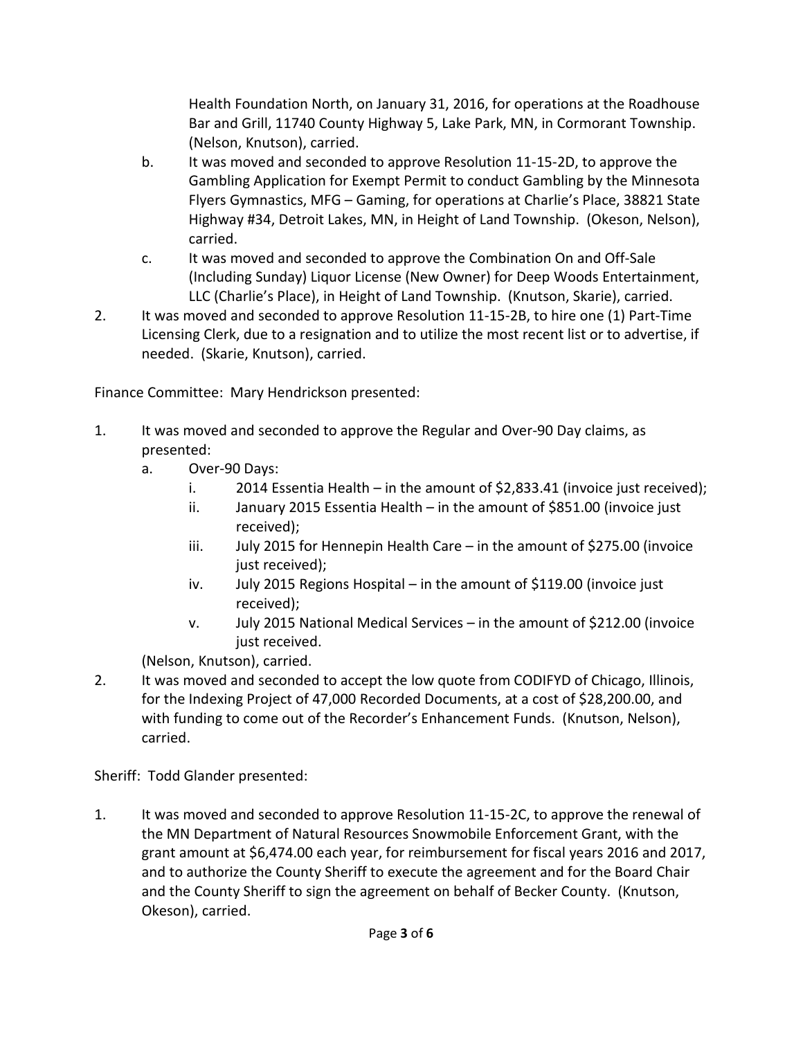Health Foundation North, on January 31, 2016, for operations at the Roadhouse Bar and Grill, 11740 County Highway 5, Lake Park, MN, in Cormorant Township. (Nelson, Knutson), carried.

- b. It was moved and seconded to approve Resolution 11-15-2D, to approve the Gambling Application for Exempt Permit to conduct Gambling by the Minnesota Flyers Gymnastics, MFG – Gaming, for operations at Charlie's Place, 38821 State Highway #34, Detroit Lakes, MN, in Height of Land Township. (Okeson, Nelson), carried.
- c. It was moved and seconded to approve the Combination On and Off-Sale (Including Sunday) Liquor License (New Owner) for Deep Woods Entertainment, LLC (Charlie's Place), in Height of Land Township. (Knutson, Skarie), carried.
- 2. It was moved and seconded to approve Resolution 11-15-2B, to hire one (1) Part-Time Licensing Clerk, due to a resignation and to utilize the most recent list or to advertise, if needed. (Skarie, Knutson), carried.

Finance Committee: Mary Hendrickson presented:

- 1. It was moved and seconded to approve the Regular and Over-90 Day claims, as presented:
	- a. Over-90 Days:
		- i. 2014 Essentia Health in the amount of \$2,833.41 (invoice just received);
		- ii. January 2015 Essentia Health in the amount of \$851.00 (invoice just received);
		- iii. July 2015 for Hennepin Health Care in the amount of \$275.00 (invoice just received);
		- iv. July 2015 Regions Hospital in the amount of \$119.00 (invoice just received);
		- v. July 2015 National Medical Services in the amount of \$212.00 (invoice just received.

(Nelson, Knutson), carried.

2. It was moved and seconded to accept the low quote from CODIFYD of Chicago, Illinois, for the Indexing Project of 47,000 Recorded Documents, at a cost of \$28,200.00, and with funding to come out of the Recorder's Enhancement Funds. (Knutson, Nelson), carried.

Sheriff: Todd Glander presented:

1. It was moved and seconded to approve Resolution 11-15-2C, to approve the renewal of the MN Department of Natural Resources Snowmobile Enforcement Grant, with the grant amount at \$6,474.00 each year, for reimbursement for fiscal years 2016 and 2017, and to authorize the County Sheriff to execute the agreement and for the Board Chair and the County Sheriff to sign the agreement on behalf of Becker County. (Knutson, Okeson), carried.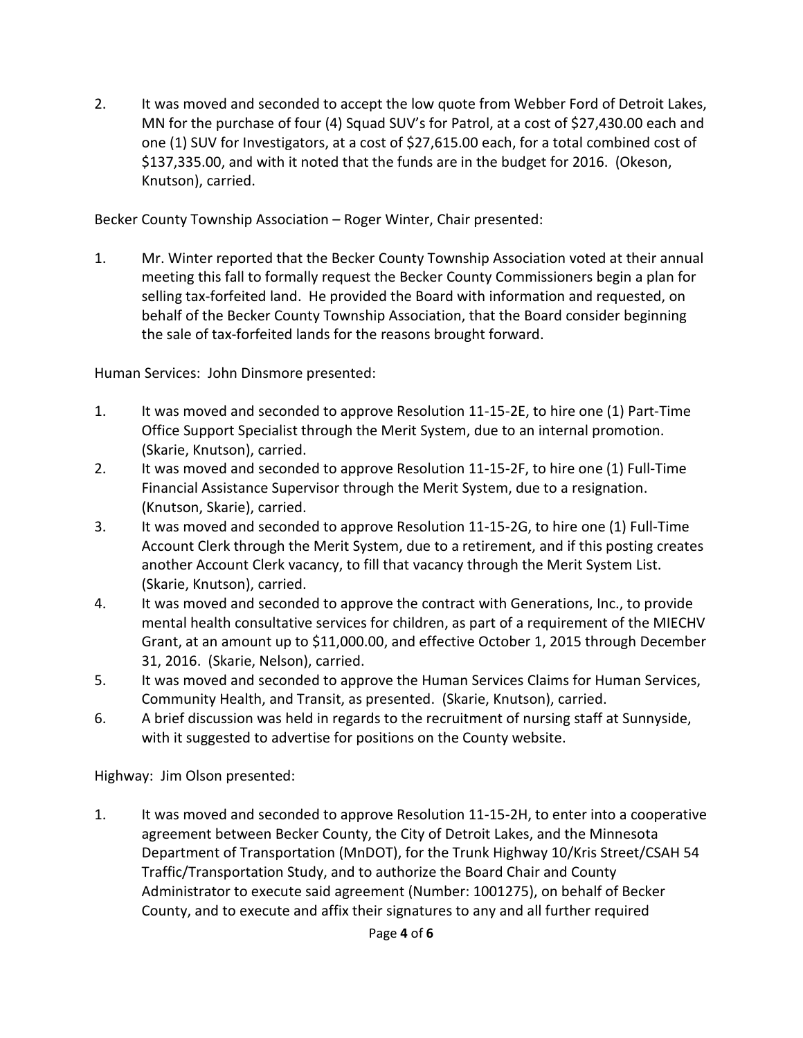2. It was moved and seconded to accept the low quote from Webber Ford of Detroit Lakes, MN for the purchase of four (4) Squad SUV's for Patrol, at a cost of \$27,430.00 each and one (1) SUV for Investigators, at a cost of \$27,615.00 each, for a total combined cost of \$137,335.00, and with it noted that the funds are in the budget for 2016. (Okeson, Knutson), carried.

Becker County Township Association – Roger Winter, Chair presented:

1. Mr. Winter reported that the Becker County Township Association voted at their annual meeting this fall to formally request the Becker County Commissioners begin a plan for selling tax-forfeited land. He provided the Board with information and requested, on behalf of the Becker County Township Association, that the Board consider beginning the sale of tax-forfeited lands for the reasons brought forward.

Human Services: John Dinsmore presented:

- 1. It was moved and seconded to approve Resolution 11-15-2E, to hire one (1) Part-Time Office Support Specialist through the Merit System, due to an internal promotion. (Skarie, Knutson), carried.
- 2. It was moved and seconded to approve Resolution 11-15-2F, to hire one (1) Full-Time Financial Assistance Supervisor through the Merit System, due to a resignation. (Knutson, Skarie), carried.
- 3. It was moved and seconded to approve Resolution 11-15-2G, to hire one (1) Full-Time Account Clerk through the Merit System, due to a retirement, and if this posting creates another Account Clerk vacancy, to fill that vacancy through the Merit System List. (Skarie, Knutson), carried.
- 4. It was moved and seconded to approve the contract with Generations, Inc., to provide mental health consultative services for children, as part of a requirement of the MIECHV Grant, at an amount up to \$11,000.00, and effective October 1, 2015 through December 31, 2016. (Skarie, Nelson), carried.
- 5. It was moved and seconded to approve the Human Services Claims for Human Services, Community Health, and Transit, as presented. (Skarie, Knutson), carried.
- 6. A brief discussion was held in regards to the recruitment of nursing staff at Sunnyside, with it suggested to advertise for positions on the County website.

Highway: Jim Olson presented:

1. It was moved and seconded to approve Resolution 11-15-2H, to enter into a cooperative agreement between Becker County, the City of Detroit Lakes, and the Minnesota Department of Transportation (MnDOT), for the Trunk Highway 10/Kris Street/CSAH 54 Traffic/Transportation Study, and to authorize the Board Chair and County Administrator to execute said agreement (Number: 1001275), on behalf of Becker County, and to execute and affix their signatures to any and all further required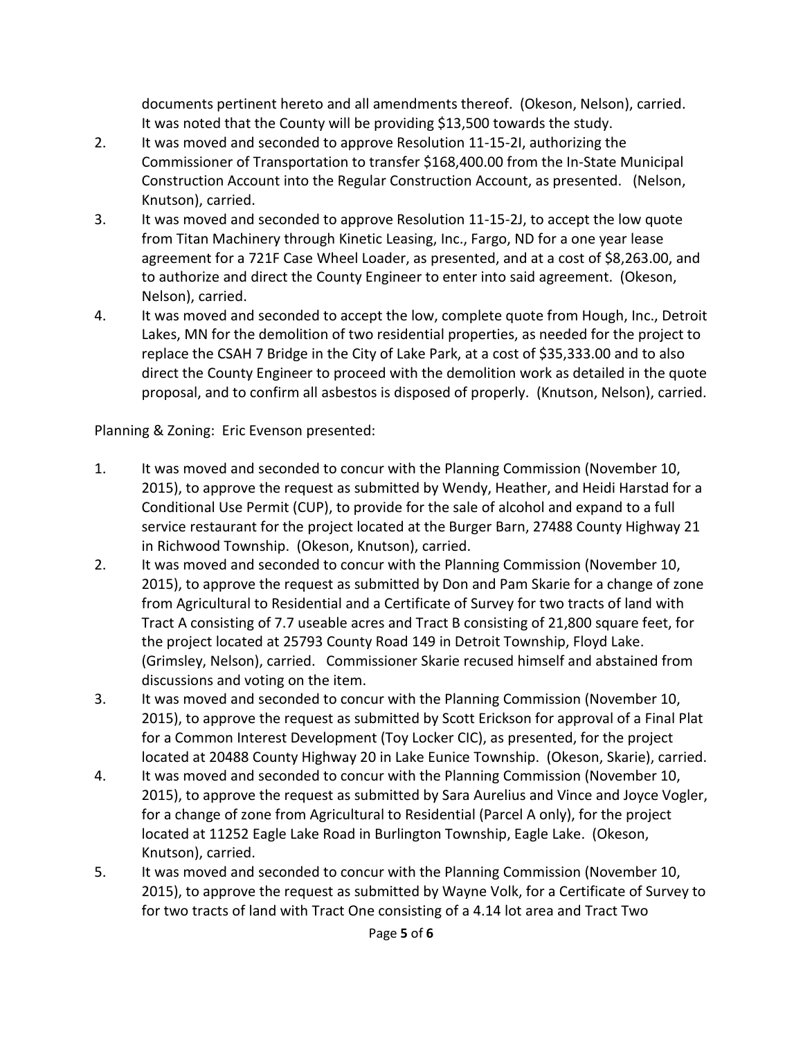documents pertinent hereto and all amendments thereof. (Okeson, Nelson), carried. It was noted that the County will be providing \$13,500 towards the study.

- 2. It was moved and seconded to approve Resolution 11-15-2I, authorizing the Commissioner of Transportation to transfer \$168,400.00 from the In-State Municipal Construction Account into the Regular Construction Account, as presented. (Nelson, Knutson), carried.
- 3. It was moved and seconded to approve Resolution 11-15-2J, to accept the low quote from Titan Machinery through Kinetic Leasing, Inc., Fargo, ND for a one year lease agreement for a 721F Case Wheel Loader, as presented, and at a cost of \$8,263.00, and to authorize and direct the County Engineer to enter into said agreement. (Okeson, Nelson), carried.
- 4. It was moved and seconded to accept the low, complete quote from Hough, Inc., Detroit Lakes, MN for the demolition of two residential properties, as needed for the project to replace the CSAH 7 Bridge in the City of Lake Park, at a cost of \$35,333.00 and to also direct the County Engineer to proceed with the demolition work as detailed in the quote proposal, and to confirm all asbestos is disposed of properly. (Knutson, Nelson), carried.

Planning & Zoning: Eric Evenson presented:

- 1. It was moved and seconded to concur with the Planning Commission (November 10, 2015), to approve the request as submitted by Wendy, Heather, and Heidi Harstad for a Conditional Use Permit (CUP), to provide for the sale of alcohol and expand to a full service restaurant for the project located at the Burger Barn, 27488 County Highway 21 in Richwood Township. (Okeson, Knutson), carried.
- 2. It was moved and seconded to concur with the Planning Commission (November 10, 2015), to approve the request as submitted by Don and Pam Skarie for a change of zone from Agricultural to Residential and a Certificate of Survey for two tracts of land with Tract A consisting of 7.7 useable acres and Tract B consisting of 21,800 square feet, for the project located at 25793 County Road 149 in Detroit Township, Floyd Lake. (Grimsley, Nelson), carried. Commissioner Skarie recused himself and abstained from discussions and voting on the item.
- 3. It was moved and seconded to concur with the Planning Commission (November 10, 2015), to approve the request as submitted by Scott Erickson for approval of a Final Plat for a Common Interest Development (Toy Locker CIC), as presented, for the project located at 20488 County Highway 20 in Lake Eunice Township. (Okeson, Skarie), carried.
- 4. It was moved and seconded to concur with the Planning Commission (November 10, 2015), to approve the request as submitted by Sara Aurelius and Vince and Joyce Vogler, for a change of zone from Agricultural to Residential (Parcel A only), for the project located at 11252 Eagle Lake Road in Burlington Township, Eagle Lake. (Okeson, Knutson), carried.
- 5. It was moved and seconded to concur with the Planning Commission (November 10, 2015), to approve the request as submitted by Wayne Volk, for a Certificate of Survey to for two tracts of land with Tract One consisting of a 4.14 lot area and Tract Two